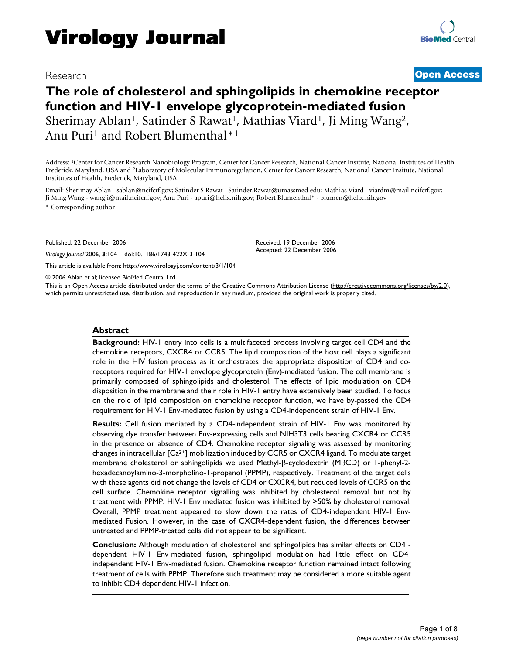## Research **[Open Access](http://www.biomedcentral.com/info/about/charter/)**

# **The role of cholesterol and sphingolipids in chemokine receptor function and HIV-1 envelope glycoprotein-mediated fusion** Sherimay Ablan<sup>1</sup>, Satinder S Rawat<sup>1</sup>, Mathias Viard<sup>1</sup>, Ji Ming Wang<sup>2</sup>, Anu Puri<sup>1</sup> and Robert Blumenthal<sup>\*1</sup>

Address: 1Center for Cancer Research Nanobiology Program, Center for Cancer Research, National Cancer Insitute, National Institutes of Health, Frederick, Maryland, USA and 2Laboratory of Molecular Immunoregulation, Center for Cancer Research, National Cancer Insitute, National Institutes of Health, Frederick, Maryland, USA

Email: Sherimay Ablan - sablan@ncifcrf.gov; Satinder S Rawat - Satinder.Rawat@umassmed.edu; Mathias Viard - viardm@mail.ncifcrf.gov; Ji Ming Wang - wangji@mail.ncifcrf.gov; Anu Puri - apuri@helix.nih.gov; Robert Blumenthal\* - blumen@helix.nih.gov

\* Corresponding author

Published: 22 December 2006

*Virology Journal* 2006, **3**:104 doi:10.1186/1743-422X-3-104

[This article is available from: http://www.virologyj.com/content/3/1/104](http://www.virologyj.com/content/3/1/104)

© 2006 Ablan et al; licensee BioMed Central Ltd.

This is an Open Access article distributed under the terms of the Creative Commons Attribution License [\(http://creativecommons.org/licenses/by/2.0\)](http://creativecommons.org/licenses/by/2.0), which permits unrestricted use, distribution, and reproduction in any medium, provided the original work is properly cited.

Received: 19 December 2006 Accepted: 22 December 2006

#### **Abstract**

**Background:** HIV-1 entry into cells is a multifaceted process involving target cell CD4 and the chemokine receptors, CXCR4 or CCR5. The lipid composition of the host cell plays a significant role in the HIV fusion process as it orchestrates the appropriate disposition of CD4 and coreceptors required for HIV-1 envelope glycoprotein (Env)-mediated fusion. The cell membrane is primarily composed of sphingolipids and cholesterol. The effects of lipid modulation on CD4 disposition in the membrane and their role in HIV-1 entry have extensively been studied. To focus on the role of lipid composition on chemokine receptor function, we have by-passed the CD4 requirement for HIV-1 Env-mediated fusion by using a CD4-independent strain of HIV-1 Env.

**Results:** Cell fusion mediated by a CD4-independent strain of HIV-1 Env was monitored by observing dye transfer between Env-expressing cells and NIH3T3 cells bearing CXCR4 or CCR5 in the presence or absence of CD4. Chemokine receptor signaling was assessed by monitoring changes in intracellular [Ca2+] mobilization induced by CCR5 or CXCR4 ligand. To modulate target membrane cholesterol or sphingolipids we used Methyl-β-cyclodextrin (MβCD) or 1-phenyl-2 hexadecanoylamino-3-morpholino-1-propanol (PPMP), respectively. Treatment of the target cells with these agents did not change the levels of CD4 or CXCR4, but reduced levels of CCR5 on the cell surface. Chemokine receptor signalling was inhibited by cholesterol removal but not by treatment with PPMP. HIV-1 Env mediated fusion was inhibited by >50% by cholesterol removal. Overall, PPMP treatment appeared to slow down the rates of CD4-independent HIV-1 Envmediated Fusion. However, in the case of CXCR4-dependent fusion, the differences between untreated and PPMP-treated cells did not appear to be significant.

**Conclusion:** Although modulation of cholesterol and sphingolipids has similar effects on CD4 dependent HIV-1 Env-mediated fusion, sphingolipid modulation had little effect on CD4 independent HIV-1 Env-mediated fusion. Chemokine receptor function remained intact following treatment of cells with PPMP. Therefore such treatment may be considered a more suitable agent to inhibit CD4 dependent HIV-1 infection.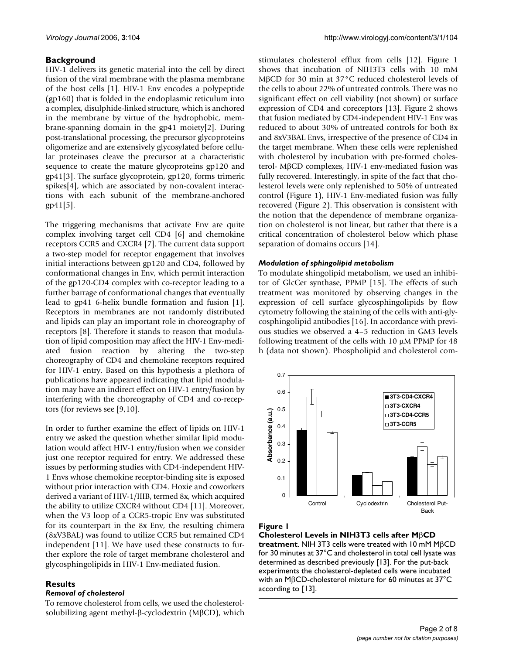## **Background**

HIV-1 delivers its genetic material into the cell by direct fusion of the viral membrane with the plasma membrane of the host cells [1]. HIV-1 Env encodes a polypeptide (gp160) that is folded in the endoplasmic reticulum into a complex, disulphide-linked structure, which is anchored in the membrane by virtue of the hydrophobic, membrane-spanning domain in the gp41 moiety[2]. During post-translational processing, the precursor glycoproteins oligomerize and are extensively glycosylated before cellular proteinases cleave the precursor at a characteristic sequence to create the mature glycoproteins gp120 and gp41[3]. The surface glycoprotein, gp120, forms trimeric spikes[4], which are associated by non-covalent interactions with each subunit of the membrane-anchored gp41[5].

The triggering mechanisms that activate Env are quite complex involving target cell CD4 [6] and chemokine receptors CCR5 and CXCR4 [7]. The current data support a two-step model for receptor engagement that involves initial interactions between gp120 and CD4, followed by conformational changes in Env, which permit interaction of the gp120-CD4 complex with co-receptor leading to a further barrage of conformational changes that eventually lead to gp41 6-helix bundle formation and fusion [1]. Receptors in membranes are not randomly distributed and lipids can play an important role in choreography of receptors [8]. Therefore it stands to reason that modulation of lipid composition may affect the HIV-1 Env-mediated fusion reaction by altering the two-step choreography of CD4 and chemokine receptors required for HIV-1 entry. Based on this hypothesis a plethora of publications have appeared indicating that lipid modulation may have an indirect effect on HIV-1 entry/fusion by interfering with the choreography of CD4 and co-receptors (for reviews see [9,10].

In order to further examine the effect of lipids on HIV-1 entry we asked the question whether similar lipid modulation would affect HIV-1 entry/fusion when we consider just one receptor required for entry. We addressed these issues by performing studies with CD4-independent HIV-1 Envs whose chemokine receptor-binding site is exposed without prior interaction with CD4. Hoxie and coworkers derived a variant of HIV-1/IIIB, termed 8x, which acquired the ability to utilize CXCR4 without CD4 [11]. Moreover, when the V3 loop of a CCR5-tropic Env was substituted for its counterpart in the 8x Env, the resulting chimera (8xV3BAL) was found to utilize CCR5 but remained CD4 independent [11]. We have used these constructs to further explore the role of target membrane cholesterol and glycosphingolipids in HIV-1 Env-mediated fusion.

## **Results**

## *Removal of cholesterol*

To remove cholesterol from cells, we used the cholesterolsolubilizing agent methyl-β-cyclodextrin (MβCD), which stimulates cholesterol efflux from cells [12]. Figure 1 shows that incubation of NIH3T3 cells with 10 mM MβCD for 30 min at 37°C reduced cholesterol levels of the cells to about 22% of untreated controls. There was no significant effect on cell viability (not shown) or surface expression of CD4 and coreceptors [13]. Figure 2 shows that fusion mediated by CD4-independent HIV-1 Env was reduced to about 30% of untreated controls for both 8x and 8xV3BAL Envs, irrespective of the presence of CD4 in the target membrane. When these cells were replenished with cholesterol by incubation with pre-formed cholesterol- MβCD complexes, HIV-1 env-mediated fusion was fully recovered. Interestingly, in spite of the fact that cholesterol levels were only replenished to 50% of untreated control (Figure 1), HIV-1 Env-mediated fusion was fully recovered (Figure 2). This observation is consistent with the notion that the dependence of membrane organization on cholesterol is not linear, but rather that there is a critical concentration of cholesterol below which phase separation of domains occurs [14].

## *Modulation of sphingolipid metabolism*

To modulate shingolipid metabolism, we used an inhibitor of GlcCer synthase, PPMP [15]. The effects of such treatment was monitored by observing changes in the expression of cell surface glycosphingolipids by flow cytometry following the staining of the cells with anti-glycosphingolipid antibodies [16]. In accordance with previous studies we observed a 4–5 reduction in GM3 levels following treatment of the cells with 10 μM PPMP for 48 h (data not shown). Phospholipid and cholesterol com-



## Figure 1

**Cholesterol Levels in NIH3T3 cells after M**β**CD treatment**. NIH 3T3 cells were treated with 10 mM MβCD for 30 minutes at 37°C and cholesterol in total cell lysate was determined as described previously [13]. For the put-back experiments the cholesterol-depleted cells were incubated with an MβCD-cholesterol mixture for 60 minutes at 37°C according to [13].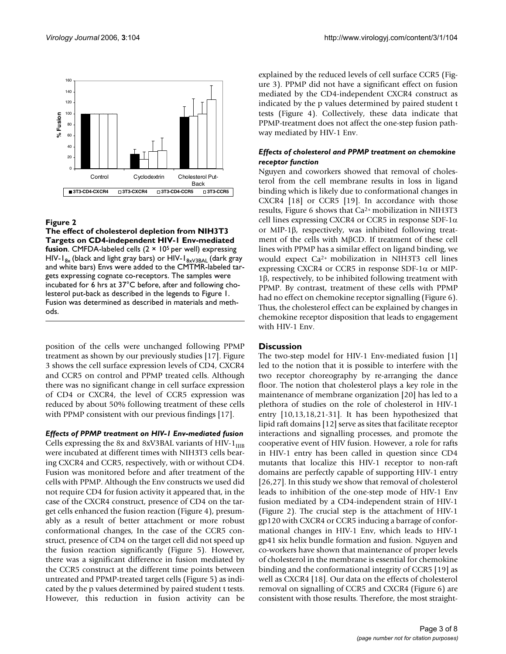

## Figure 2

**The effect of cholesterol depletion from NIH3T3 Targets on CD4-independent HIV-1 Env-mediated fusion**. CMFDA-labeled cells (2 × 105 per well) expressing HIV-1<sub>8x</sub> (black and light gray bars) or HIV-1<sub>8xV3BAL</sub> (dark gray and white bars) Envs were added to the CMTMR-labeled targets expressing cognate co-receptors. The samples were incubated for 6 hrs at 37°C before, after and following cholesterol put-back as described in the legends to Figure 1. Fusion was determined as described in materials and methods.

position of the cells were unchanged following PPMP treatment as shown by our previously studies [17]. Figure 3 shows the cell surface expression levels of CD4, CXCR4 and CCR5 on control and PPMP treated cells. Although there was no significant change in cell surface expression of CD4 or CXCR4, the level of CCR5 expression was reduced by about 50% following treatment of these cells with PPMP consistent with our previous findings [17].

*Effects of PPMP treatment on HIV-1 Env-mediated fusion* Cells expressing the 8x and 8xV3BAL variants of HIV- $1_{\text{IIB}}$ were incubated at different times with NIH3T3 cells bearing CXCR4 and CCR5, respectively, with or without CD4. Fusion was monitored before and after treatment of the cells with PPMP. Although the Env constructs we used did not require CD4 for fusion activity it appeared that, in the case of the CXCR4 construct, presence of CD4 on the target cells enhanced the fusion reaction (Figure 4), presumably as a result of better attachment or more robust conformational changes, In the case of the CCR5 construct, presence of CD4 on the target cell did not speed up the fusion reaction significantly (Figure 5). However, there was a significant difference in fusion mediated by the CCR5 construct at the different time points between untreated and PPMP-treated target cells (Figure 5) as indicated by the p values determined by paired student t tests. However, this reduction in fusion activity can be explained by the reduced levels of cell surface CCR5 (Figure 3). PPMP did not have a significant effect on fusion mediated by the CD4-independent CXCR4 construct as indicated by the p values determined by paired student t tests (Figure 4). Collectively, these data indicate that PPMP-treatment does not affect the one-step fusion pathway mediated by HIV-1 Env.

## *Effects of cholesterol and PPMP treatment on chemokine receptor function*

Nguyen and coworkers showed that removal of cholesterol from the cell membrane results in loss in ligand binding which is likely due to conformational changes in CXCR4 [18] or CCR5 [19]. In accordance with those results, Figure 6 shows that Ca2+ mobilization in NIH3T3 cell lines expressing CXCR4 or CCR5 in response SDF-1α or MIP-1β, respectively, was inhibited following treatment of the cells with MβCD. If treatment of these cell lines with PPMP has a similar effect on ligand binding, we would expect Ca2+ mobilization in NIH3T3 cell lines expressing CXCR4 or CCR5 in response  $SDF-1\alpha$  or MIP-1β, respectively, to be inhibited following treatment with PPMP. By contrast, treatment of these cells with PPMP had no effect on chemokine receptor signalling (Figure 6). Thus, the cholesterol effect can be explained by changes in chemokine receptor disposition that leads to engagement with HIV-1 Env.

## **Discussion**

The two-step model for HIV-1 Env-mediated fusion [1] led to the notion that it is possible to interfere with the two receptor choreography by re-arranging the dance floor. The notion that cholesterol plays a key role in the maintenance of membrane organization [20] has led to a plethora of studies on the role of cholesterol in HIV-1 entry [10,13,18,21-31]. It has been hypothesized that lipid raft domains [12] serve as sites that facilitate receptor interactions and signalling processes, and promote the cooperative event of HIV fusion. However, a role for rafts in HIV-1 entry has been called in question since CD4 mutants that localize this HIV-1 receptor to non-raft domains are perfectly capable of supporting HIV-1 entry [26,27]. In this study we show that removal of cholesterol leads to inhibition of the one-step mode of HIV-1 Env fusion mediated by a CD4-independent strain of HIV-1 (Figure 2). The crucial step is the attachment of HIV-1 gp120 with CXCR4 or CCR5 inducing a barrage of conformational changes in HIV-1 Env, which leads to HIV-1 gp41 six helix bundle formation and fusion. Nguyen and co-workers have shown that maintenance of proper levels of cholesterol in the membrane is essential for chemokine binding and the conformational integrity of CCR5 [19] as well as CXCR4 [18]. Our data on the effects of cholesterol removal on signalling of CCR5 and CXCR4 (Figure 6) are consistent with those results. Therefore, the most straight-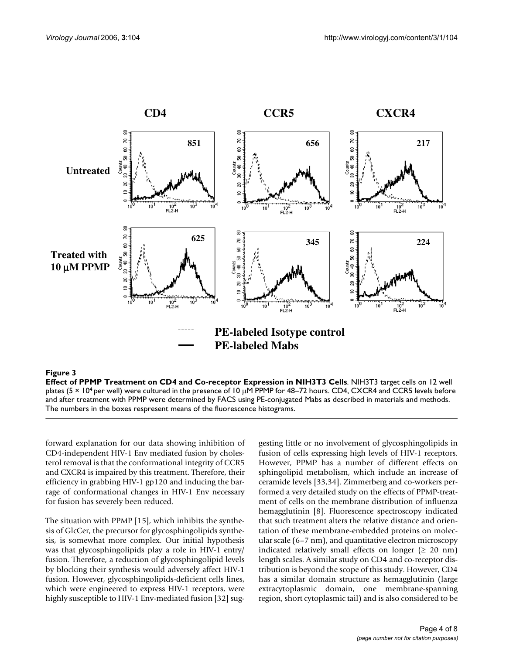

## **Figure 3** Effect of PPMP Treatment on Co-receptor Expression in NIH3T3 Cells and Co-receptor Expression in NIH3T3 Cells

**Effect of PPMP Treatment on CD4 and Co-receptor Expression in NIH3T3 Cells**. NIH3T3 target cells on 12 well plates (5 × 104 per well) were cultured in the presence of 10 μM PPMP for 48–72 hours. CD4, CXCR4 and CCR5 levels before and after treatment with PPMP were determined by FACS using PE-conjugated Mabs as described in materials and methods. The numbers in the boxes respresent means of the fluorescence histograms.

forward explanation for our data showing inhibition of CD4-independent HIV-1 Env mediated fusion by cholesterol removal is that the conformational integrity of CCR5 and CXCR4 is impaired by this treatment. Therefore, their efficiency in grabbing HIV-1 gp120 and inducing the barrage of conformational changes in HIV-1 Env necessary for fusion has severely been reduced.

The situation with PPMP [15], which inhibits the synthesis of GlcCer, the precursor for glycosphingolipids synthesis, is somewhat more complex. Our initial hypothesis was that glycosphingolipids play a role in HIV-1 entry/ fusion. Therefore, a reduction of glycosphingolipid levels by blocking their synthesis would adversely affect HIV-1 fusion. However, glycosphingolipids-deficient cells lines, which were engineered to express HIV-1 receptors, were highly susceptible to HIV-1 Env-mediated fusion [32] suggesting little or no involvement of glycosphingolipids in fusion of cells expressing high levels of HIV-1 receptors. However, PPMP has a number of different effects on sphingolipid metabolism, which include an increase of ceramide levels [33,34]. Zimmerberg and co-workers performed a very detailed study on the effects of PPMP-treatment of cells on the membrane distribution of influenza hemagglutinin [8]. Fluorescence spectroscopy indicated that such treatment alters the relative distance and orientation of these membrane-embedded proteins on molecular scale (6–7 nm), and quantitative electron microscopy indicated relatively small effects on longer ( $\geq 20$  nm) length scales. A similar study on CD4 and co-receptor distribution is beyond the scope of this study. However, CD4 has a similar domain structure as hemagglutinin (large extracytoplasmic domain, one membrane-spanning region, short cytoplasmic tail) and is also considered to be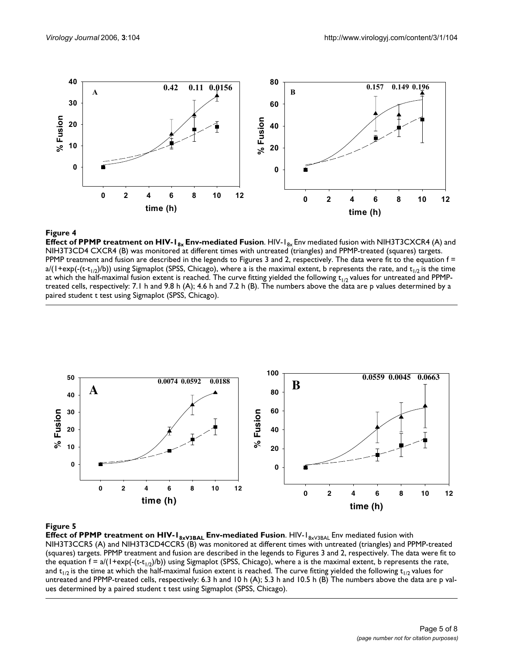

## Effect of PPMP treatment on HIV-18x **Figure 4** Env-mediated Fusion

**Effect of PPMP treatment on HIV-1<sub>8x</sub> Env-mediated Fusion**. HIV-1<sub>8x</sub> Env mediated fusion with NIH3T3CXCR4 (A) and NIH3T3CD4 CXCR4 (B) was monitored at different times with untreated (triangles) and PPMP-treated (squares) targets. PPMP treatment and fusion are described in the legends to Figures 3 and 2, respectively. The data were fit to the equation  $f =$  $a/(1+exp(-(t-t_{1/2})/b))$  using Sigmaplot (SPSS, Chicago), where a is the maximal extent, b represents the rate, and  $t_{1/2}$  is the time at which the half-maximal fusion extent is reached. The curve fitting yielded the following  $t_{1/2}$  values for untreated and PPMPtreated cells, respectively: 7.1 h and 9.8 h (A); 4.6 h and 7.2 h (B). The numbers above the data are p values determined by a paired student t test using Sigmaplot (SPSS, Chicago).



## **Figure 5** Env-mediated Fusion on HIV-18xV3BAL **Figure 5**

**Effect of PPMP treatment on HIV-1<sub>8xV3BAL</sub> Env-mediated Fusion**. HIV-1<sub>8xV3BAL</sub> Env mediated fusion with NIH3T3CCR5 (A) and NIH3T3CD4CCR5 (B) was monitored at different times with untreated (triangles) and PPMP-treated (squares) targets. PPMP treatment and fusion are described in the legends to Figures 3 and 2, respectively. The data were fit to the equation  $f = a/(1 + exp(-(t-t_{1/2})/b))$  using Sigmaplot (SPSS, Chicago), where a is the maximal extent, b represents the rate, and t<sub>1/2</sub> is the time at which the half-maximal fusion extent is reached. The curve fitting yielded the following t<sub>1/2</sub> values for untreated and PPMP-treated cells, respectively: 6.3 h and 10 h (A); 5.3 h and 10.5 h (B) The numbers above the data are p values determined by a paired student t test using Sigmaplot (SPSS, Chicago).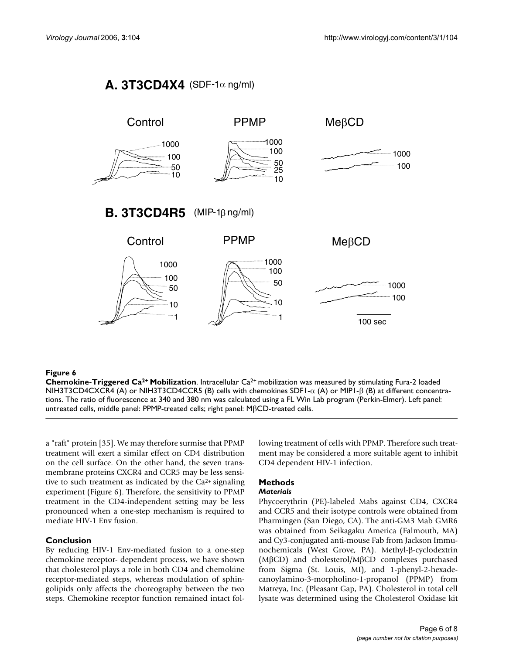

## Figure 6

**Chemokine-Triggered Ca2+ Mobilization**. Intracellular Ca2+ mobilization was measured by stimulating Fura-2 loaded NIH3T3CD4CXCR4 (A) or NIH3T3CD4CCR5 (B) cells with chemokines SDF1-α (A) or MIP1-β (B) at different concentrations. The ratio of fluorescence at 340 and 380 nm was calculated using a FL Win Lab program (Perkin-Elmer). Left panel: untreated cells, middle panel: PPMP-treated cells; right panel: MβCD-treated cells.

a "raft" protein [35]. We may therefore surmise that PPMP treatment will exert a similar effect on CD4 distribution on the cell surface. On the other hand, the seven transmembrane proteins CXCR4 and CCR5 may be less sensitive to such treatment as indicated by the Ca2+ signaling experiment (Figure 6). Therefore, the sensitivity to PPMP treatment in the CD4-independent setting may be less pronounced when a one-step mechanism is required to mediate HIV-1 Env fusion.

## **Conclusion**

By reducing HIV-1 Env-mediated fusion to a one-step chemokine receptor- dependent process, we have shown that cholesterol plays a role in both CD4 and chemokine receptor-mediated steps, whereas modulation of sphingolipids only affects the choreography between the two steps. Chemokine receptor function remained intact following treatment of cells with PPMP. Therefore such treatment may be considered a more suitable agent to inhibit CD4 dependent HIV-1 infection.

## **Methods**

## *Materials*

Phycoerythrin (PE)-labeled Mabs against CD4, CXCR4 and CCR5 and their isotype controls were obtained from Pharmingen (San Diego, CA). The anti-GM3 Mab GMR6 was obtained from Seikagaku America (Falmouth, MA) and Cy3-conjugated anti-mouse Fab from Jackson Immunochemicals (West Grove, PA). Methyl-β-cyclodextrin (MβCD) and cholesterol/MβCD complexes purchased from Sigma (St. Louis, MI), and 1-phenyl-2-hexadecanoylamino-3-morpholino-1-propanol (PPMP) from Matreya, Inc. (Pleasant Gap, PA). Cholesterol in total cell lysate was determined using the Cholesterol Oxidase kit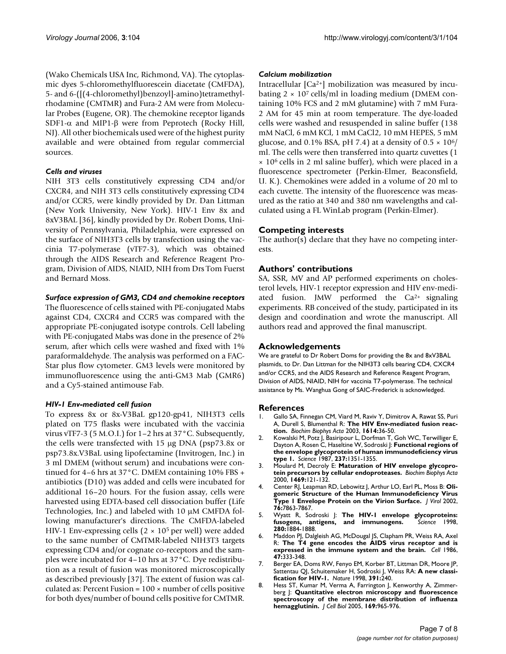(Wako Chemicals USA Inc, Richmond, VA). The cytoplasmic dyes 5-chloromethylfluorescein diacetate (CMFDA), 5- and 6-([(4-chloromethyl)benzoyl]-amino)tetramethylrhodamine (CMTMR) and Fura-2 AM were from Molecular Probes (Eugene, OR). The chemokine receptor ligands SDF1-α and MIP1-β were from Peprotech (Rocky Hill, NJ). All other biochemicals used were of the highest purity available and were obtained from regular commercial sources.

## *Cells and viruses*

NIH 3T3 cells constitutively expressing CD4 and/or CXCR4, and NIH 3T3 cells constitutively expressing CD4 and/or CCR5, were kindly provided by Dr. Dan Littman (New York University, New York). HIV-1 Env 8x and 8xV3BAL [36], kindly provided by Dr. Robert Doms, University of Pennsylvania, Philadelphia, were expressed on the surface of NIH3T3 cells by transfection using the vaccinia T7-polymerase (vTF7-3), which was obtained through the AIDS Research and Reference Reagent Program, Division of AIDS, NIAID, NIH from Drs Tom Fuerst and Bernard Moss.

## *Surface expression of GM3, CD4 and chemokine receptors*

The fluorescence of cells stained with PE-conjugated Mabs against CD4, CXCR4 and CCR5 was compared with the appropriate PE-conjugated isotype controls. Cell labeling with PE-conjugated Mabs was done in the presence of 2% serum, after which cells were washed and fixed with 1% paraformaldehyde. The analysis was performed on a FAC-Star plus flow cytometer. GM3 levels were monitored by immunofluorescence using the anti-GM3 Mab (GMR6) and a Cy5-stained antimouse Fab.

## *HIV-1 Env-mediated cell fusion*

To express 8x or 8x-V3BaL gp120-gp41, NIH3T3 cells plated on T75 flasks were incubated with the vaccinia virus vTF7-3 (5 M.O.I.) for 1–2 hrs at 37°C. Subsequently, the cells were transfected with 15 μg DNA (psp73.8x or psp73.8x.V3BaL using lipofectamine (Invitrogen, Inc.) in 3 ml DMEM (without serum) and incubations were continued for 4–6 hrs at 37°C. DMEM containing 10% FBS + antibiotics (D10) was added and cells were incubated for additional 16–20 hours. For the fusion assay, cells were harvested using EDTA-based cell dissociation buffer (Life Technologies, Inc.) and labeled with 10 μM CMFDA following manufacturer's directions. The CMFDA-labeled HIV-1 Env-expressing cells  $(2 \times 10^5$  per well) were added to the same number of CMTMR-labeled NIH3T3 targets expressing CD4 and/or cognate co-receptors and the samples were incubated for 4–10 hrs at 37°C. Dye redistribution as a result of fusion was monitored microscopically as described previously [37]. The extent of fusion was calculated as: Percent Fusion = 100 × number of cells positive for both dyes/number of bound cells positive for CMTMR.

## *Calcium mobilization*

Intracellular [Ca2+] mobilization was measured by incubating  $2 \times 10^7$  cells/ml in loading medium (DMEM containing 10% FCS and 2 mM glutamine) with 7 mM Fura-2 AM for 45 min at room temperature. The dye-loaded cells were washed and resuspended in saline buffer (138 mM NaCl, 6 mM KCl, 1 mM CaCl2, 10 mM HEPES, 5 mM glucose, and 0.1% BSA, pH 7.4) at a density of  $0.5 \times 10^{6}$ ml. The cells were then transferred into quartz cuvettes (1 × 106 cells in 2 ml saline buffer), which were placed in a fluorescence spectrometer (Perkin-Elmer, Beaconsfield, U. K.). Chemokines were added in a volume of 20 ml to each cuvette. The intensity of the fluorescence was measured as the ratio at 340 and 380 nm wavelengths and calculated using a FL WinLab program (Perkin-Elmer).

## **Competing interests**

The author(s) declare that they have no competing interests.

## **Authors' contributions**

SA, SSR, MV and AP performed experiments on cholesterol levels, HIV-1 receptor expression and HIV env-mediated fusion. JMW performed the  $Ca^{2+}$  signaling experiments. RB conceived of the study, participated in its design and coordination and wrote the manuscript. All authors read and approved the final manuscript.

## **Acknowledgements**

We are grateful to Dr Robert Doms for providing the 8x and 8xV3BAL plasmids, to Dr. Dan Littman for the NIH3T3 cells bearing CD4, CXCR4 and/or CCR5, and the AIDS Research and Reference Reagent Program, Division of AIDS, NIAID, NIH for vaccinia T7-polymerase. The technical assistance by Ms. Wanghua Gong of SAIC-Frederick is acknowledged.

## **References**

- 1. Gallo SA, Finnegan CM, Viard M, Raviv Y, Dimitrov A, Rawat SS, Puri A, Durell S, Blumenthal R: **[The HIV Env-mediated fusion reac](http://www.ncbi.nlm.nih.gov/entrez/query.fcgi?cmd=Retrieve&db=PubMed&dopt=Abstract&list_uids=12873764)[tion.](http://www.ncbi.nlm.nih.gov/entrez/query.fcgi?cmd=Retrieve&db=PubMed&dopt=Abstract&list_uids=12873764)** *Biochim Biophys Acta* 2003, **1614:**36-50.
- 2. Kowalski M, Potz J, Basiripour L, Dorfman T, Goh WC, Terwilliger E, Dayton A, Rosen C, Haseltine W, Sodroski J: **[Functional regions of](http://www.ncbi.nlm.nih.gov/entrez/query.fcgi?cmd=Retrieve&db=PubMed&dopt=Abstract&list_uids=3629244) [the envelope glycoprotein of human immunodeficiency virus](http://www.ncbi.nlm.nih.gov/entrez/query.fcgi?cmd=Retrieve&db=PubMed&dopt=Abstract&list_uids=3629244) [type 1.](http://www.ncbi.nlm.nih.gov/entrez/query.fcgi?cmd=Retrieve&db=PubMed&dopt=Abstract&list_uids=3629244)** *Science* 1987, **237:**1351-1355.
- 3. Moulard M, Decroly E: **[Maturation of HIV envelope glycopro](http://www.ncbi.nlm.nih.gov/entrez/query.fcgi?cmd=Retrieve&db=PubMed&dopt=Abstract&list_uids=11063880)[tein precursors by cellular endoproteases.](http://www.ncbi.nlm.nih.gov/entrez/query.fcgi?cmd=Retrieve&db=PubMed&dopt=Abstract&list_uids=11063880)** *Biochim Biophys Acta* 2000, **1469:**121-132.
- 4. Center RJ, Leapman RD, Lebowitz J, Arthur LO, Earl PL, Moss B: **[Oli](http://www.ncbi.nlm.nih.gov/entrez/query.fcgi?cmd=Retrieve&db=PubMed&dopt=Abstract&list_uids=12097599)[gomeric Structure of the Human Immunodeficiency Virus](http://www.ncbi.nlm.nih.gov/entrez/query.fcgi?cmd=Retrieve&db=PubMed&dopt=Abstract&list_uids=12097599) [Type 1 Envelope Protein on the Virion Surface.](http://www.ncbi.nlm.nih.gov/entrez/query.fcgi?cmd=Retrieve&db=PubMed&dopt=Abstract&list_uids=12097599)** *J Virol* 2002, **76:**7863-7867.
- 5. Wyatt R, Sodroski J: **[The HIV-1 envelope glycoproteins:](http://www.ncbi.nlm.nih.gov/entrez/query.fcgi?cmd=Retrieve&db=PubMed&dopt=Abstract&list_uids=9632381) [fusogens, antigens, and immunogens.](http://www.ncbi.nlm.nih.gov/entrez/query.fcgi?cmd=Retrieve&db=PubMed&dopt=Abstract&list_uids=9632381)** *Science* 1998, **280:**1884-1888.
- 6. Maddon PJ, Dalgleish AG, McDougal JS, Clapham PR, Weiss RA, Axel R: **[The T4 gene encodes the AIDS virus receptor and is](http://www.ncbi.nlm.nih.gov/entrez/query.fcgi?cmd=Retrieve&db=PubMed&dopt=Abstract&list_uids=3094962) [expressed in the immune system and the brain.](http://www.ncbi.nlm.nih.gov/entrez/query.fcgi?cmd=Retrieve&db=PubMed&dopt=Abstract&list_uids=3094962)** *Cell* 1986, **47:**333-348.
- 7. Berger EA, Doms RW, Fenyo EM, Korber BT, Littman DR, Moore JP, Sattentau QJ, Schuitemaker H, Sodroski J, Weiss RA: **[A new classi](http://www.ncbi.nlm.nih.gov/entrez/query.fcgi?cmd=Retrieve&db=PubMed&dopt=Abstract&list_uids=9440686)[fication for HIV-1.](http://www.ncbi.nlm.nih.gov/entrez/query.fcgi?cmd=Retrieve&db=PubMed&dopt=Abstract&list_uids=9440686)** *Nature* 1998, **391:**240.
- 8. Hess ST, Kumar M, Verma A, Farrington J, Kenworthy A, Zimmerberg J: **[Quantitative electron microscopy and fluorescence](http://www.ncbi.nlm.nih.gov/entrez/query.fcgi?cmd=Retrieve&db=PubMed&dopt=Abstract&list_uids=15967815) [spectroscopy of the membrane distribution of influenza](http://www.ncbi.nlm.nih.gov/entrez/query.fcgi?cmd=Retrieve&db=PubMed&dopt=Abstract&list_uids=15967815) [hemagglutinin.](http://www.ncbi.nlm.nih.gov/entrez/query.fcgi?cmd=Retrieve&db=PubMed&dopt=Abstract&list_uids=15967815)** *J Cell Biol* 2005, **169:**965-976.